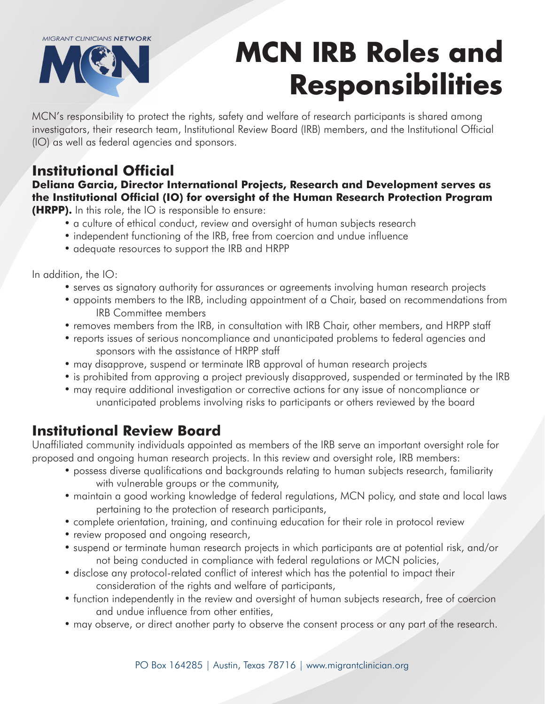**MIGRANT CLINICIANS NETWORK** 



# **MCN IRB Roles and Responsibilities**

MCN's responsibility to protect the rights, safety and welfare of research participants is shared among investigators, their research team, Institutional Review Board (IRB) members, and the Institutional Official (IO) as well as federal agencies and sponsors.

## **Institutional Official**

### **Deliana Garcia, Director International Projects, Research and Development serves as the Institutional Official (IO) for oversight of the Human Research Protection Program**

**(HRPP).** In this role, the IO is responsible to ensure:

- a culture of ethical conduct, review and oversight of human subjects research
- independent functioning of the IRB, free from coercion and undue influence
- adequate resources to support the IRB and HRPP

In addition, the IO:

- serves as signatory authority for assurances or agreements involving human research projects
- appoints members to the IRB, including appointment of a Chair, based on recommendations from IRB Committee members
- removes members from the IRB, in consultation with IRB Chair, other members, and HRPP staff
- reports issues of serious noncompliance and unanticipated problems to federal agencies and sponsors with the assistance of HRPP staff
- may disapprove, suspend or terminate IRB approval of human research projects
- is prohibited from approving a project previously disapproved, suspended or terminated by the IRB
- may require additional investigation or corrective actions for any issue of noncompliance or unanticipated problems involving risks to participants or others reviewed by the board

### **Institutional Review Board**

Unaffiliated community individuals appointed as members of the IRB serve an important oversight role for proposed and ongoing human research projects. In this review and oversight role, IRB members:

- possess diverse qualifications and backgrounds relating to human subjects research, familiarity with vulnerable groups or the community,
- maintain a good working knowledge of federal regulations, MCN policy, and state and local laws pertaining to the protection of research participants,
- complete orientation, training, and continuing education for their role in protocol review
- review proposed and ongoing research,
- suspend or terminate human research projects in which participants are at potential risk, and/or not being conducted in compliance with federal regulations or MCN policies,
- disclose any protocol-related conflict of interest which has the potential to impact their consideration of the rights and welfare of participants,
- function independently in the review and oversight of human subjects research, free of coercion and undue influence from other entities,
- may observe, or direct another party to observe the consent process or any part of the research.